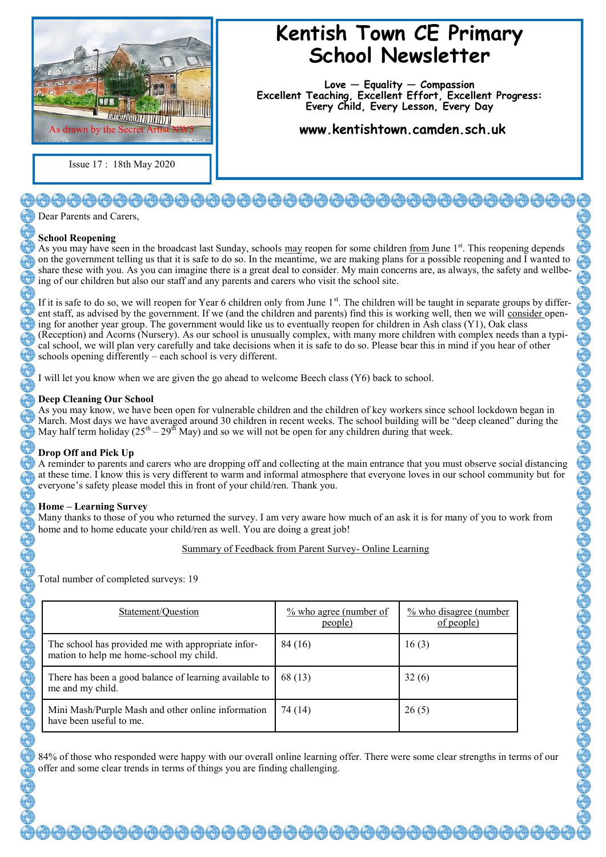

Issue 17 : 18th May 2020

# **Kentish Town CE Primary School Newsletter**

**Love — Equality — Compassion Excellent Teaching, Excellent Effort, Excellent Progress: Every Child, Every Lesson, Every Day**

**www.kentishtown.camden.sch.uk** 

# }<del>@@@@@@@@@@@@@@@@@@@</del>@@@@

Dear Parents and Carers

## **School Reopening**

As you may have seen in the broadcast last Sunday, schools may reopen for some children from June 1<sup>st</sup>. This reopening depends on the government telling us that it is safe to do so. In the meantime, we are making plans for a possible reopening and I wanted to share these with you. As you can imagine there is a great deal to consider. My main concerns are, as always, the safety and wellbeing of our children but also our staff and any parents and carers who visit the school site.

If it is safe to do so, we will reopen for Year 6 children only from June  $1<sup>st</sup>$ . The children will be taught in separate groups by different staff, as advised by the government. If we (and the children and parents) find this is working well, then we will consider opening for another year group. The government would like us to eventually reopen for children in Ash class (Y1), Oak class (Reception) and Acorns (Nursery). As our school is unusually complex, with many more children with complex needs than a typical school, we will plan very carefully and take decisions when it is safe to do so. Please bear this in mind if you hear of other schools opening differently – each school is very different.

I will let you know when we are given the go ahead to welcome Beech class (Y6) back to school.

### **Deep Cleaning Our School**

As you may know, we have been open for vulnerable children and the children of key workers since school lockdown began in March. Most days we have averaged around 30 children in recent weeks. The school building will be "deep cleaned" during the May half term holiday (25<sup>th</sup> – 29<sup>th</sup> May) and so we will not be open for any children during that week.

## **Drop Off and Pick Up**

A reminder to parents and carers who are dropping off and collecting at the main entrance that you must observe social distancing at these time. I know this is very different to warm and informal atmosphere that everyone loves in our school community but for everyone's safety please model this in front of your child/ren. Thank you.

## **Home – Learning Survey**

Many thanks to those of you who returned the survey. I am very aware how much of an ask it is for many of you to work from home and to home educate your child/ren as well. You are doing a great job!

Summary of Feedback from Parent Survey- Online Learning

Total number of completed surveys: 19

| Statement/Ouestion                                                                            | $\frac{\%}{\%}$ who agree (number of<br>people) | $\frac{\%}{\%}$ who disagree (number<br>of people) |
|-----------------------------------------------------------------------------------------------|-------------------------------------------------|----------------------------------------------------|
| The school has provided me with appropriate infor-<br>mation to help me home-school my child. | 84 (16)                                         | 16(3)                                              |
| There has been a good balance of learning available to<br>me and my child.                    | 68 (13)                                         | 32(6)                                              |
| Mini Mash/Purple Mash and other online information<br>have been useful to me.                 | 74 (14)                                         | 26(5)                                              |

84% of those who responded were happy with our overall online learning offer. There were some clear strengths in terms of our offer and some clear trends in terms of things you are finding challenging.

<del>00000000000000000000000000</del>